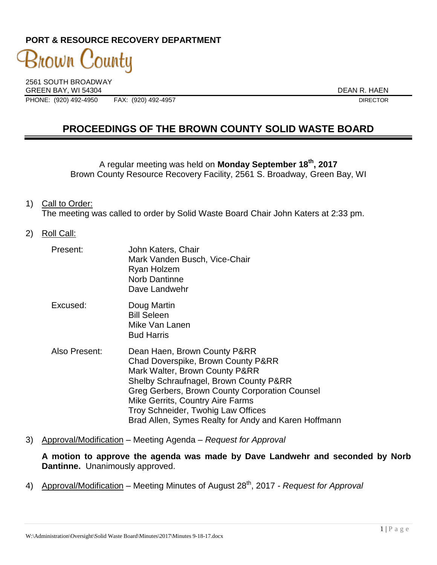# **PORT & RESOURCE RECOVERY DEPARTMENT**

3nown County 2561 SOUTH BROADWAY

GREEN BAY, WI 54304 DEAN R. HAEN

PHONE: (920) 492-4950 FAX: (920) 492-4957 DIRECTOR

# **PROCEEDINGS OF THE BROWN COUNTY SOLID WASTE BOARD**

A regular meeting was held on **Monday September 18th , 2017** Brown County Resource Recovery Facility, 2561 S. Broadway, Green Bay, WI

- 1) Call to Order: The meeting was called to order by Solid Waste Board Chair John Katers at 2:33 pm.
- 2) Roll Call:

| Present:      | John Katers, Chair<br>Mark Vanden Busch, Vice-Chair<br>Ryan Holzem<br><b>Norb Dantinne</b><br>Dave Landwehr                                                                                                                                                                                                                        |
|---------------|------------------------------------------------------------------------------------------------------------------------------------------------------------------------------------------------------------------------------------------------------------------------------------------------------------------------------------|
| Excused:      | Doug Martin<br><b>Bill Seleen</b><br>Mike Van Lanen<br><b>Bud Harris</b>                                                                                                                                                                                                                                                           |
| Also Present: | Dean Haen, Brown County P&RR<br>Chad Doverspike, Brown County P&RR<br>Mark Walter, Brown County P&RR<br>Shelby Schraufnagel, Brown County P&RR<br>Greg Gerbers, Brown County Corporation Counsel<br>Mike Gerrits, Country Aire Farms<br>Troy Schneider, Twohig Law Offices<br>Brad Allen, Symes Realty for Andy and Karen Hoffmann |

3) Approval/Modification – Meeting Agenda – *Request for Approval*

**A motion to approve the agenda was made by Dave Landwehr and seconded by Norb Dantinne.** Unanimously approved.

4) Approval/Modification – Meeting Minutes of August 28<sup>th</sup>, 2017 *- Request for Approval*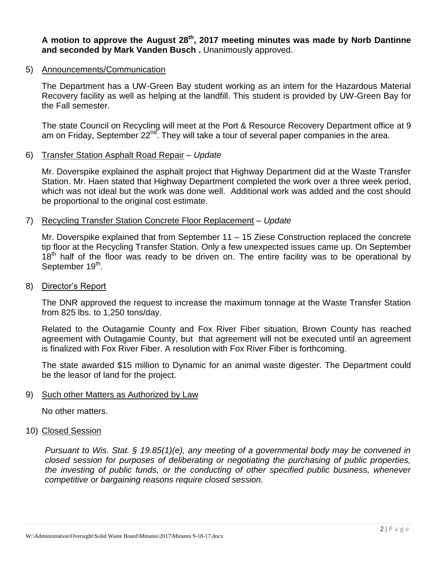**A motion to approve the August 28th , 2017 meeting minutes was made by Norb Dantinne and seconded by Mark Vanden Busch .** Unanimously approved.

### 5) Announcements/Communication

The Department has a UW-Green Bay student working as an intern for the Hazardous Material Recovery facility as well as helping at the landfill. This student is provided by UW-Green Bay for the Fall semester.

The state Council on Recycling will meet at the Port & Resource Recovery Department office at 9 am on Friday, September  $22^{nd}$ . They will take a tour of several paper companies in the area.

# 6) Transfer Station Asphalt Road Repair – *Update*

Mr. Doverspike explained the asphalt project that Highway Department did at the Waste Transfer Station. Mr. Haen stated that Highway Department completed the work over a three week period, which was not ideal but the work was done well. Additional work was added and the cost should be proportional to the original cost estimate.

## 7) Recycling Transfer Station Concrete Floor Replacement – *Update*

Mr. Doverspike explained that from September 11 – 15 Ziese Construction replaced the concrete tip floor at the Recycling Transfer Station. Only a few unexpected issues came up. On September  $18<sup>th</sup>$  half of the floor was ready to be driven on. The entire facility was to be operational by September 19<sup>th</sup>.

### 8) Director's Report

The DNR approved the request to increase the maximum tonnage at the Waste Transfer Station from 825 lbs. to 1,250 tons/day.

Related to the Outagamie County and Fox River Fiber situation, Brown County has reached agreement with Outagamie County, but that agreement will not be executed until an agreement is finalized with Fox River Fiber. A resolution with Fox River Fiber is forthcoming.

The state awarded \$15 million to Dynamic for an animal waste digester. The Department could be the leasor of land for the project.

### 9) Such other Matters as Authorized by Law

No other matters.

### 10) Closed Session

*Pursuant to Wis. Stat. § 19.85(1)(e), any meeting of a governmental body may be convened in closed session for purposes of deliberating or negotiating the purchasing of public properties, the investing of public funds, or the conducting of other specified public business, whenever competitive or bargaining reasons require closed session.*